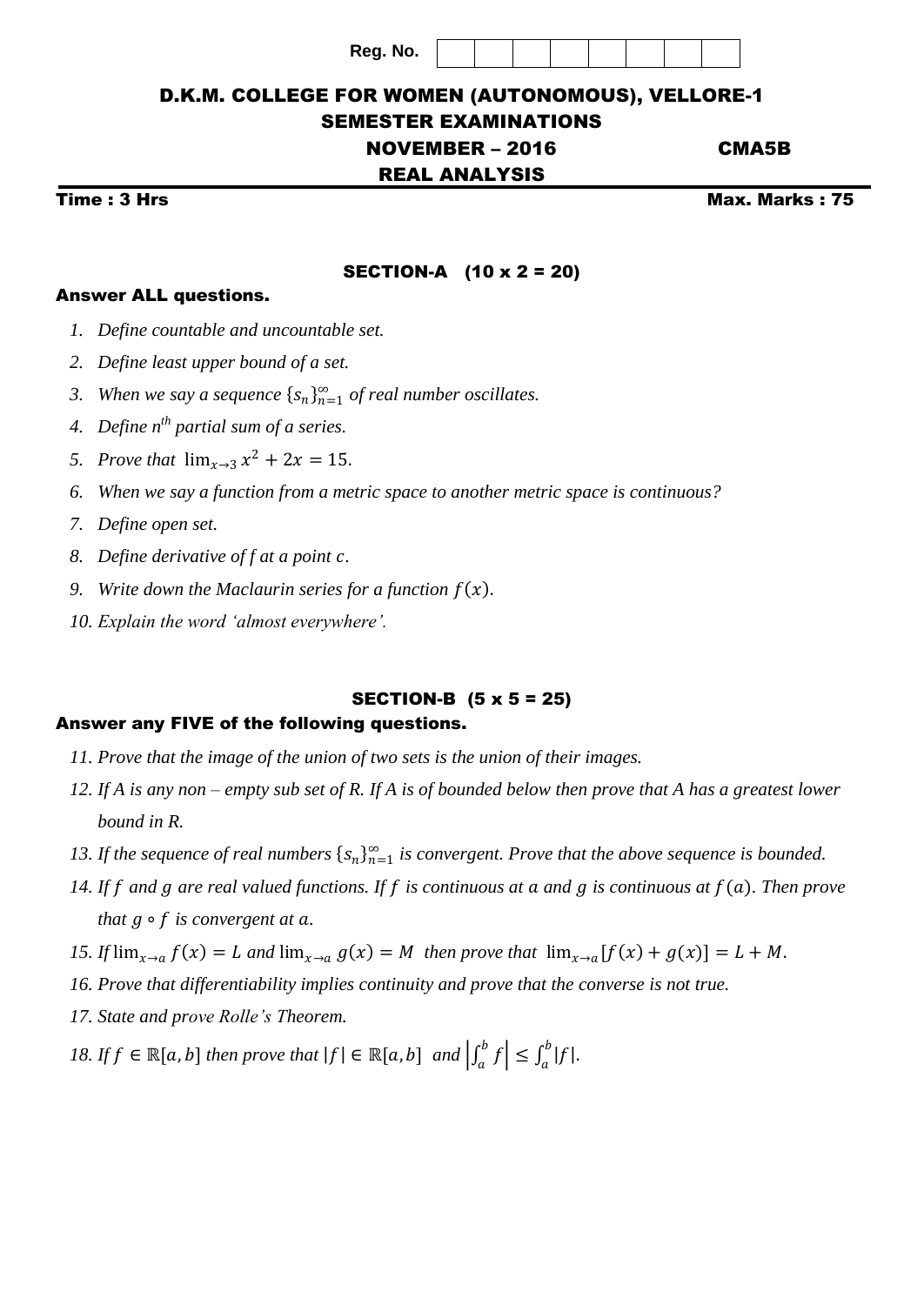## D.K.M. COLLEGE FOR WOMEN (AUTONOMOUS), VELLORE-1 SEMESTER EXAMINATIONS

# NOVEMBER – 2016 CMA5B

## REAL ANALYSIS

Time : 3 Hrs Max. Marks : 75

### SECTION-A (10 x 2 = 20)

### Answer ALL questions.

- *1. Define countable and uncountable set.*
- *2. Define least upper bound of a set.*
- 3. When we say a sequence  $\{s_n\}_{n=1}^{\infty}$  of real number oscillates.
- *4. Define nth partial sum of a series.*
- *5. Prove that*  $\lim_{x \to 3} x^2 + 2x = 15$ .
- *6. When we say a function from a metric space to another metric space is continuous?*
- *7. Define open set.*
- *8. Define derivative of f at a point .*
- 9. *Write down the Maclaurin series for a function*  $f(x)$ *.*
- *10. Explain the word 'almost everywhere'.*

## SECTION-B (5 x 5 = 25)

#### Answer any FIVE of the following questions.

- *11. Prove that the image of the union of two sets is the union of their images.*
- *12. If A is any non – empty sub set of R. If A is of bounded below then prove that A has a greatest lower bound in R.*
- *13. If the sequence of real numbers*  $\{s_n\}_{n=1}^{\infty}$  *is convergent. Prove that the above sequence is bounded.*
- 14. If  $f$  and  $g$  are real valued functions. If  $f$  is continuous at  $a$  and  $g$  is continuous at  $f(a)$ . Then prove *that*  $g \circ f$  *is convergent at a.*
- *15. If*  $\lim_{x\to a} f(x) = L$  and  $\lim_{x\to a} g(x) = M$  then prove that  $\lim_{x\to a} [f(x) + g(x)] = L + M$ .
- *16. Prove that differentiability implies continuity and prove that the converse is not true.*
- *17. State and prove Rolle's Theorem.*
- *18. If*  $f \in \mathbb{R}[a, b]$  *then prove that*  $|f| \in \mathbb{R}[a, b]$  *and*  $\left| \int_a^b f \right|$  $\left| \int_a^b f \right| \leq \int_a^b |f|$  $\int_a^b |f|$ .